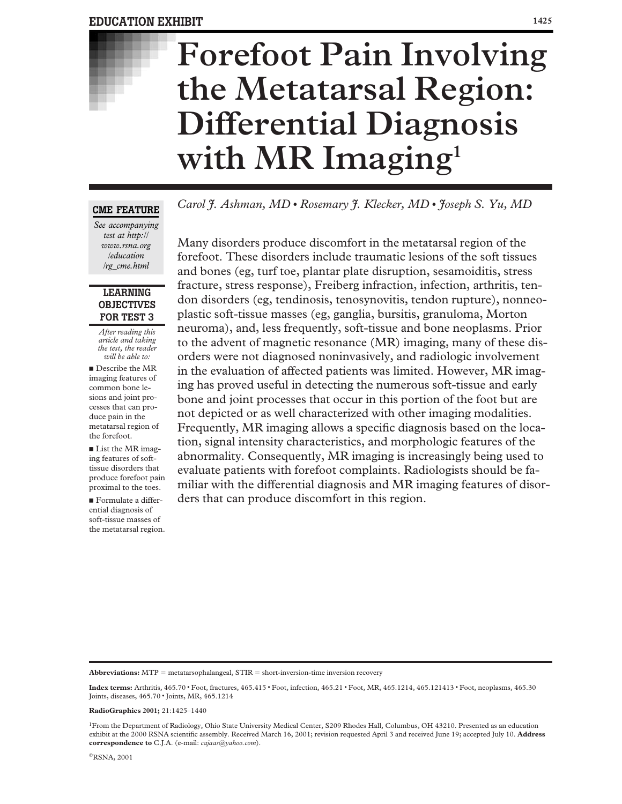# **Forefoot Pain Involving the Metatarsal Region: Differential Diagnosis with MR Imaging1**

#### **CME FEATURE**

*See accompanying test at http:// www.rsna.org /education /rg\_cme.html*

## **LEARNING OBJECTIVES FOR TEST 3**

*After reading this article and taking the test, the reader will be able to:*

■ Describe the MR imaging features of common bone lesions and joint processes that can produce pain in the metatarsal region of the forefoot.

■ List the MR imaging features of softtissue disorders that produce forefoot pain proximal to the toes.

 Formulate a differential diagnosis of soft-tissue masses of the metatarsal region. *Carol J. Ashman, MD* ● *Rosemary J. Klecker, MD* ● *Joseph S. Yu, MD*

Many disorders produce discomfort in the metatarsal region of the forefoot. These disorders include traumatic lesions of the soft tissues and bones (eg, turf toe, plantar plate disruption, sesamoiditis, stress fracture, stress response), Freiberg infraction, infection, arthritis, tendon disorders (eg, tendinosis, tenosynovitis, tendon rupture), nonneoplastic soft-tissue masses (eg, ganglia, bursitis, granuloma, Morton neuroma), and, less frequently, soft-tissue and bone neoplasms. Prior to the advent of magnetic resonance (MR) imaging, many of these disorders were not diagnosed noninvasively, and radiologic involvement in the evaluation of affected patients was limited. However, MR imaging has proved useful in detecting the numerous soft-tissue and early bone and joint processes that occur in this portion of the foot but are not depicted or as well characterized with other imaging modalities. Frequently, MR imaging allows a specific diagnosis based on the location, signal intensity characteristics, and morphologic features of the abnormality. Consequently, MR imaging is increasingly being used to evaluate patients with forefoot complaints. Radiologists should be familiar with the differential diagnosis and MR imaging features of disorders that can produce discomfort in this region.

**Abbreviations:**  $MTP$  = metatarsophalangeal,  $STIR$  = short-inversion-time inversion recovery

**Index terms:** Arthritis, 465.70 ● Foot, fractures, 465.415 ● Foot, infection, 465.21 ● Foot, MR, 465.1214, 465.121413 ● Foot, neoplasms, 465.30 Joints, diseases, 465.70 ● Joints, MR, 465.1214

**RadioGraphics 2001;** 21:1425–1440

1From the Department of Radiology, Ohio State University Medical Center, S209 Rhodes Hall, Columbus, OH 43210. Presented as an education exhibit at the 2000 RSNA scientific assembly. Received March 16, 2001; revision requested April 3 and received June 19; accepted July 10. **Address correspondence to** C.J.A. (e-mail: *cajaas@yahoo.com*).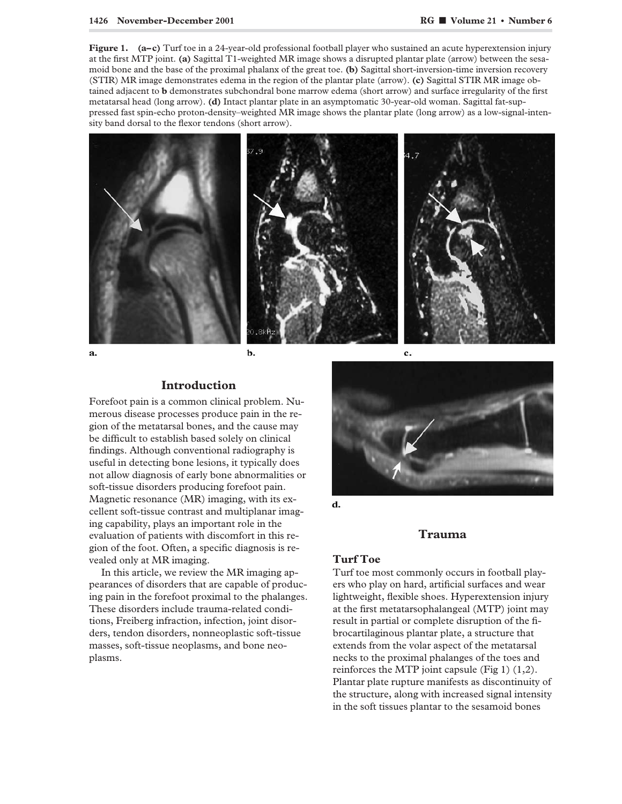#### **1426** November-December 2001 **RG** ■ Volume 21 • Number 6

**Figure 1.** (a–c) Turf toe in a 24-year-old professional football player who sustained an acute hyperextension injury at the first MTP joint. **(a)** Sagittal T1-weighted MR image shows a disrupted plantar plate (arrow) between the sesamoid bone and the base of the proximal phalanx of the great toe. **(b)** Sagittal short-inversion-time inversion recovery (STIR) MR image demonstrates edema in the region of the plantar plate (arrow). **(c)** Sagittal STIR MR image obtained adjacent to **b** demonstrates subchondral bone marrow edema (short arrow) and surface irregularity of the first metatarsal head (long arrow). **(d)** Intact plantar plate in an asymptomatic 30-year-old woman. Sagittal fat-suppressed fast spin-echo proton-density–weighted MR image shows the plantar plate (long arrow) as a low-signal-intensity band dorsal to the flexor tendons (short arrow).



a.



## **Introduction**

Forefoot pain is a common clinical problem. Numerous disease processes produce pain in the region of the metatarsal bones, and the cause may be difficult to establish based solely on clinical findings. Although conventional radiography is useful in detecting bone lesions, it typically does not allow diagnosis of early bone abnormalities or soft-tissue disorders producing forefoot pain. Magnetic resonance (MR) imaging, with its excellent soft-tissue contrast and multiplanar imaging capability, plays an important role in the evaluation of patients with discomfort in this region of the foot. Often, a specific diagnosis is revealed only at MR imaging.

In this article, we review the MR imaging appearances of disorders that are capable of producing pain in the forefoot proximal to the phalanges. These disorders include trauma-related conditions, Freiberg infraction, infection, joint disorders, tendon disorders, nonneoplastic soft-tissue masses, soft-tissue neoplasms, and bone neoplasms.



d.

#### **Trauma**

#### **Turf Toe**

Turf toe most commonly occurs in football players who play on hard, artificial surfaces and wear lightweight, flexible shoes. Hyperextension injury at the first metatarsophalangeal (MTP) joint may result in partial or complete disruption of the fibrocartilaginous plantar plate, a structure that extends from the volar aspect of the metatarsal necks to the proximal phalanges of the toes and reinforces the MTP joint capsule (Fig 1) (1,2). Plantar plate rupture manifests as discontinuity of the structure, along with increased signal intensity in the soft tissues plantar to the sesamoid bones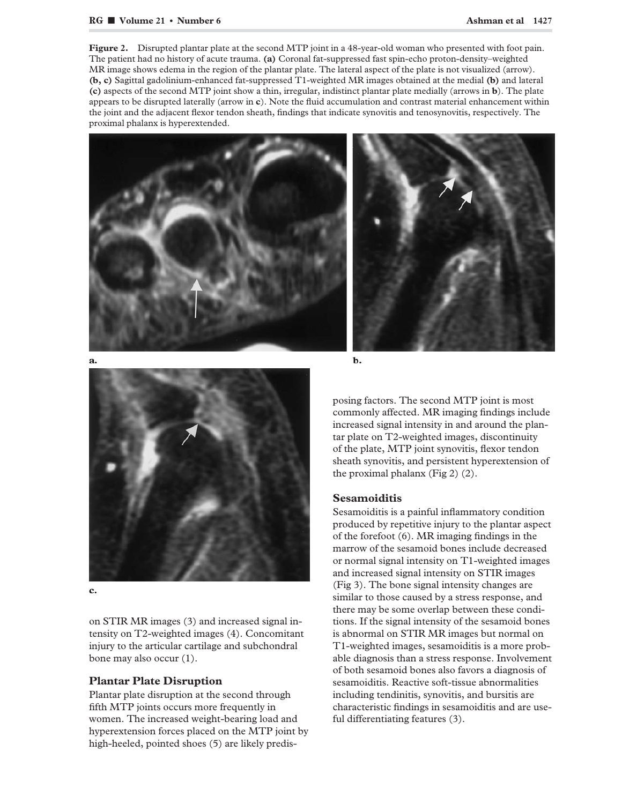#### **RG** ■ Volume 21 • Number 6 **Ashman** et al 1427

**Figure 2.** Disrupted plantar plate at the second MTP joint in a 48-year-old woman who presented with foot pain. The patient had no history of acute trauma. **(a)** Coronal fat-suppressed fast spin-echo proton-density–weighted MR image shows edema in the region of the plantar plate. The lateral aspect of the plate is not visualized (arrow). **(b, c)** Sagittal gadolinium-enhanced fat-suppressed T1-weighted MR images obtained at the medial **(b)** and lateral **(c)** aspects of the second MTP joint show a thin, irregular, indistinct plantar plate medially (arrows in **b**). The plate appears to be disrupted laterally (arrow in **c**). Note the fluid accumulation and contrast material enhancement within the joint and the adjacent flexor tendon sheath, findings that indicate synovitis and tenosynovitis, respectively. The proximal phalanx is hyperextended.









c.

on STIR MR images (3) and increased signal intensity on T2-weighted images (4). Concomitant injury to the articular cartilage and subchondral bone may also occur (1).

## **Plantar Plate Disruption**

Plantar plate disruption at the second through fifth MTP joints occurs more frequently in women. The increased weight-bearing load and hyperextension forces placed on the MTP joint by high-heeled, pointed shoes (5) are likely predis**.** 

posing factors. The second MTP joint is most commonly affected. MR imaging findings include increased signal intensity in and around the plantar plate on T2-weighted images, discontinuity of the plate, MTP joint synovitis, flexor tendon sheath synovitis, and persistent hyperextension of the proximal phalanx (Fig 2) (2).

#### **Sesamoiditis**

Sesamoiditis is a painful inflammatory condition produced by repetitive injury to the plantar aspect of the forefoot (6). MR imaging findings in the marrow of the sesamoid bones include decreased or normal signal intensity on T1-weighted images and increased signal intensity on STIR images (Fig 3). The bone signal intensity changes are similar to those caused by a stress response, and there may be some overlap between these conditions. If the signal intensity of the sesamoid bones is abnormal on STIR MR images but normal on T1-weighted images, sesamoiditis is a more probable diagnosis than a stress response. Involvement of both sesamoid bones also favors a diagnosis of sesamoiditis. Reactive soft-tissue abnormalities including tendinitis, synovitis, and bursitis are characteristic findings in sesamoiditis and are useful differentiating features (3).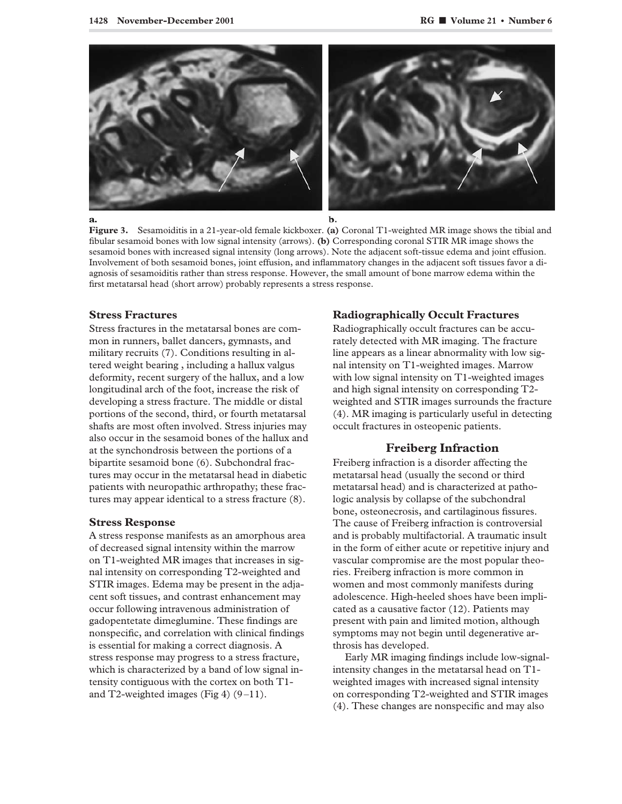

**Figure 3.** Sesamoiditis in a 21-year-old female kickboxer. **(a)** Coronal T1-weighted MR image shows the tibial and fibular sesamoid bones with low signal intensity (arrows). **(b)** Corresponding coronal STIR MR image shows the sesamoid bones with increased signal intensity (long arrows). Note the adjacent soft-tissue edema and joint effusion. Involvement of both sesamoid bones, joint effusion, and inflammatory changes in the adjacent soft tissues favor a diagnosis of sesamoiditis rather than stress response. However, the small amount of bone marrow edema within the first metatarsal head (short arrow) probably represents a stress response.

## **Stress Fractures**

Stress fractures in the metatarsal bones are common in runners, ballet dancers, gymnasts, and military recruits (7). Conditions resulting in altered weight bearing , including a hallux valgus deformity, recent surgery of the hallux, and a low longitudinal arch of the foot, increase the risk of developing a stress fracture. The middle or distal portions of the second, third, or fourth metatarsal shafts are most often involved. Stress injuries may also occur in the sesamoid bones of the hallux and at the synchondrosis between the portions of a bipartite sesamoid bone (6). Subchondral fractures may occur in the metatarsal head in diabetic patients with neuropathic arthropathy; these fractures may appear identical to a stress fracture (8).

#### **Stress Response**

A stress response manifests as an amorphous area of decreased signal intensity within the marrow on T1-weighted MR images that increases in signal intensity on corresponding T2-weighted and STIR images. Edema may be present in the adjacent soft tissues, and contrast enhancement may occur following intravenous administration of gadopentetate dimeglumine. These findings are nonspecific, and correlation with clinical findings is essential for making a correct diagnosis. A stress response may progress to a stress fracture, which is characterized by a band of low signal intensity contiguous with the cortex on both T1 and T2-weighted images (Fig 4)  $(9-11)$ .

#### **Radiographically Occult Fractures**

Radiographically occult fractures can be accurately detected with MR imaging. The fracture line appears as a linear abnormality with low signal intensity on T1-weighted images. Marrow with low signal intensity on T1-weighted images and high signal intensity on corresponding T2 weighted and STIR images surrounds the fracture (4). MR imaging is particularly useful in detecting occult fractures in osteopenic patients.

# **Freiberg Infraction**

Freiberg infraction is a disorder affecting the metatarsal head (usually the second or third metatarsal head) and is characterized at pathologic analysis by collapse of the subchondral bone, osteonecrosis, and cartilaginous fissures. The cause of Freiberg infraction is controversial and is probably multifactorial. A traumatic insult in the form of either acute or repetitive injury and vascular compromise are the most popular theories. Freiberg infraction is more common in women and most commonly manifests during adolescence. High-heeled shoes have been implicated as a causative factor (12). Patients may present with pain and limited motion, although symptoms may not begin until degenerative arthrosis has developed.

Early MR imaging findings include low-signalintensity changes in the metatarsal head on T1 weighted images with increased signal intensity on corresponding T2-weighted and STIR images (4). These changes are nonspecific and may also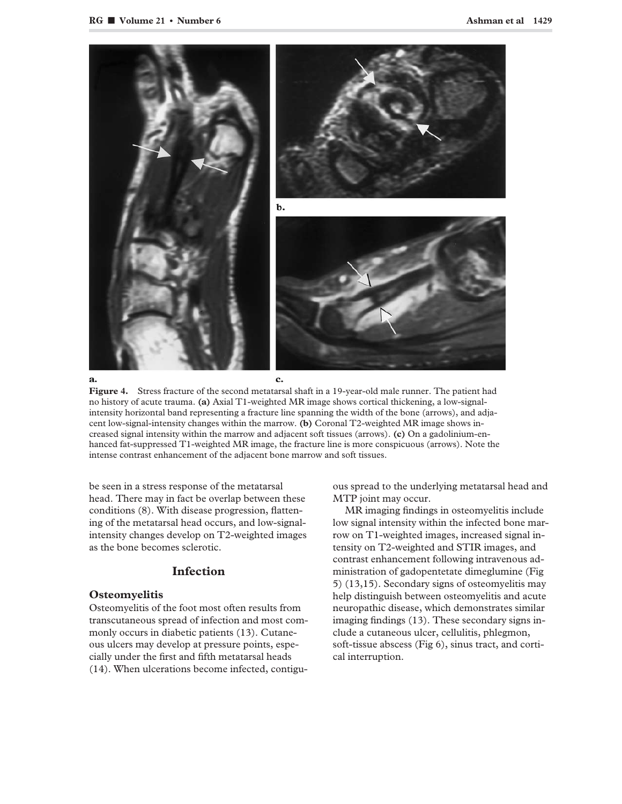

**Figure 4.** Stress fracture of the second metatarsal shaft in a 19-year-old male runner. The patient had no history of acute trauma. **(a)** Axial T1-weighted MR image shows cortical thickening, a low-signalintensity horizontal band representing a fracture line spanning the width of the bone (arrows), and adjacent low-signal-intensity changes within the marrow. **(b)** Coronal T2-weighted MR image shows increased signal intensity within the marrow and adjacent soft tissues (arrows). **(c)** On a gadolinium-enhanced fat-suppressed T1-weighted MR image, the fracture line is more conspicuous (arrows). Note the intense contrast enhancement of the adjacent bone marrow and soft tissues.

be seen in a stress response of the metatarsal head. There may in fact be overlap between these conditions (8). With disease progression, flattening of the metatarsal head occurs, and low-signalintensity changes develop on T2-weighted images as the bone becomes sclerotic.

# **Infection**

## **Osteomyelitis**

Osteomyelitis of the foot most often results from transcutaneous spread of infection and most commonly occurs in diabetic patients (13). Cutaneous ulcers may develop at pressure points, especially under the first and fifth metatarsal heads (14). When ulcerations become infected, contiguous spread to the underlying metatarsal head and MTP joint may occur.

MR imaging findings in osteomyelitis include low signal intensity within the infected bone marrow on T1-weighted images, increased signal intensity on T2-weighted and STIR images, and contrast enhancement following intravenous administration of gadopentetate dimeglumine (Fig 5) (13,15). Secondary signs of osteomyelitis may help distinguish between osteomyelitis and acute neuropathic disease, which demonstrates similar imaging findings (13). These secondary signs include a cutaneous ulcer, cellulitis, phlegmon, soft-tissue abscess (Fig 6), sinus tract, and cortical interruption.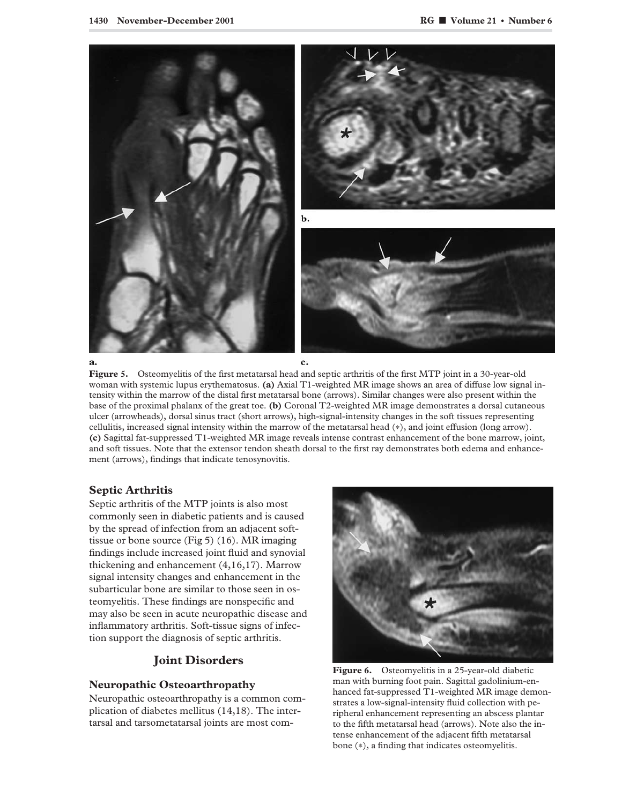

**Figure 5.** Osteomyelitis of the first metatarsal head and septic arthritis of the first MTP joint in a 30-year-old woman with systemic lupus erythematosus. **(a)** Axial T1-weighted MR image shows an area of diffuse low signal intensity within the marrow of the distal first metatarsal bone (arrows). Similar changes were also present within the base of the proximal phalanx of the great toe. **(b)** Coronal T2-weighted MR image demonstrates a dorsal cutaneous ulcer (arrowheads), dorsal sinus tract (short arrows), high-signal-intensity changes in the soft tissues representing cellulitis, increased signal intensity within the marrow of the metatarsal head (\*), and joint effusion (long arrow). **(c)** Sagittal fat-suppressed T1-weighted MR image reveals intense contrast enhancement of the bone marrow, joint, and soft tissues. Note that the extensor tendon sheath dorsal to the first ray demonstrates both edema and enhancement (arrows), findings that indicate tenosynovitis.

### **Septic Arthritis**

Septic arthritis of the MTP joints is also most commonly seen in diabetic patients and is caused by the spread of infection from an adjacent softtissue or bone source (Fig 5) (16). MR imaging findings include increased joint fluid and synovial thickening and enhancement (4,16,17). Marrow signal intensity changes and enhancement in the subarticular bone are similar to those seen in osteomyelitis. These findings are nonspecific and may also be seen in acute neuropathic disease and inflammatory arthritis. Soft-tissue signs of infection support the diagnosis of septic arthritis.

# **Joint Disorders**

#### **Neuropathic Osteoarthropathy**

Neuropathic osteoarthropathy is a common complication of diabetes mellitus (14,18). The intertarsal and tarsometatarsal joints are most com-



Figure 6. Osteomyelitis in a 25-year-old diabetic man with burning foot pain. Sagittal gadolinium-enhanced fat-suppressed T1-weighted MR image demonstrates a low-signal-intensity fluid collection with peripheral enhancement representing an abscess plantar to the fifth metatarsal head (arrows). Note also the intense enhancement of the adjacent fifth metatarsal bone (\*), a finding that indicates osteomyelitis.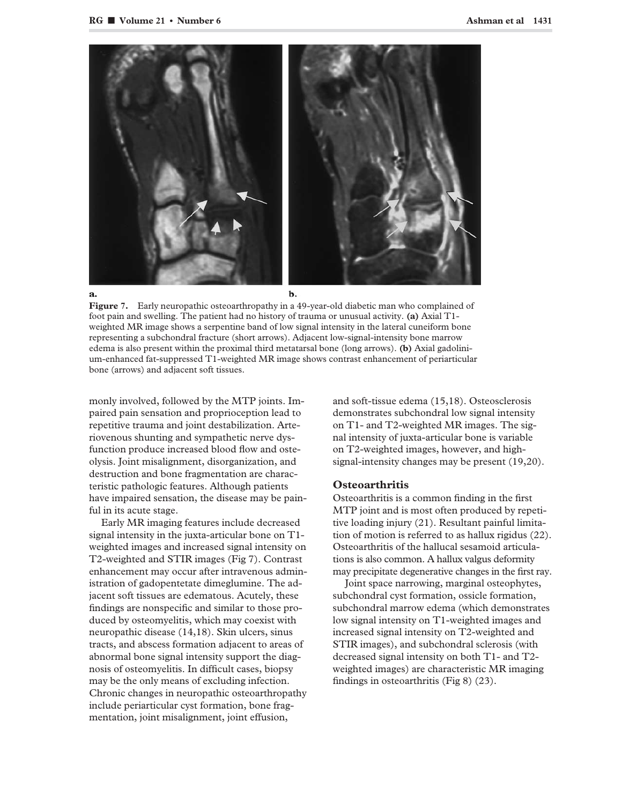a.



b.

Figure 7. Early neuropathic osteoarthropathy in a 49-year-old diabetic man who complained of foot pain and swelling. The patient had no history of trauma or unusual activity. **(a)** Axial T1 weighted MR image shows a serpentine band of low signal intensity in the lateral cuneiform bone representing a subchondral fracture (short arrows). Adjacent low-signal-intensity bone marrow edema is also present within the proximal third metatarsal bone (long arrows). **(b)** Axial gadolinium-enhanced fat-suppressed T1-weighted MR image shows contrast enhancement of periarticular bone (arrows) and adjacent soft tissues.

monly involved, followed by the MTP joints. Impaired pain sensation and proprioception lead to repetitive trauma and joint destabilization. Arteriovenous shunting and sympathetic nerve dysfunction produce increased blood flow and osteolysis. Joint misalignment, disorganization, and destruction and bone fragmentation are characteristic pathologic features. Although patients have impaired sensation, the disease may be painful in its acute stage.

Early MR imaging features include decreased signal intensity in the juxta-articular bone on T1 weighted images and increased signal intensity on T2-weighted and STIR images (Fig 7). Contrast enhancement may occur after intravenous administration of gadopentetate dimeglumine. The adjacent soft tissues are edematous. Acutely, these findings are nonspecific and similar to those produced by osteomyelitis, which may coexist with neuropathic disease (14,18). Skin ulcers, sinus tracts, and abscess formation adjacent to areas of abnormal bone signal intensity support the diagnosis of osteomyelitis. In difficult cases, biopsy may be the only means of excluding infection. Chronic changes in neuropathic osteoarthropathy include periarticular cyst formation, bone fragmentation, joint misalignment, joint effusion,

and soft-tissue edema (15,18). Osteosclerosis demonstrates subchondral low signal intensity on T1- and T2-weighted MR images. The signal intensity of juxta-articular bone is variable on T2-weighted images, however, and highsignal-intensity changes may be present (19,20).

## **Osteoarthritis**

Osteoarthritis is a common finding in the first MTP joint and is most often produced by repetitive loading injury (21). Resultant painful limitation of motion is referred to as hallux rigidus (22). Osteoarthritis of the hallucal sesamoid articulations is also common. A hallux valgus deformity may precipitate degenerative changes in the first ray.

Joint space narrowing, marginal osteophytes, subchondral cyst formation, ossicle formation, subchondral marrow edema (which demonstrates low signal intensity on T1-weighted images and increased signal intensity on T2-weighted and STIR images), and subchondral sclerosis (with decreased signal intensity on both T1- and T2 weighted images) are characteristic MR imaging findings in osteoarthritis (Fig 8) (23).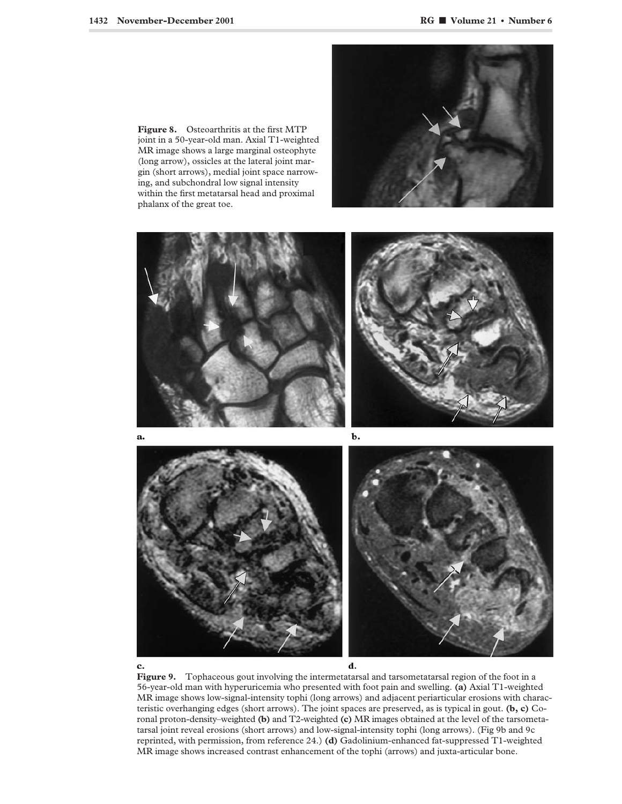

**Figure 8.** Osteoarthritis at the first MTP joint in a 50-year-old man. Axial T1-weighted MR image shows a large marginal osteophyte (long arrow), ossicles at the lateral joint margin (short arrows), medial joint space narrowing, and subchondral low signal intensity within the first metatarsal head and proximal phalanx of the great toe.



#### c.

d.

**Figure 9.** Tophaceous gout involving the intermetatarsal and tarsometatarsal region of the foot in a 56-year-old man with hyperuricemia who presented with foot pain and swelling. **(a)** Axial T1-weighted MR image shows low-signal-intensity tophi (long arrows) and adjacent periarticular erosions with characteristic overhanging edges (short arrows). The joint spaces are preserved, as is typical in gout. **(b, c)** Coronal proton-density–weighted **(b)** and T2-weighted **(c)** MR images obtained at the level of the tarsometatarsal joint reveal erosions (short arrows) and low-signal-intensity tophi (long arrows). (Fig 9b and 9c reprinted, with permission, from reference 24.) **(d)** Gadolinium-enhanced fat-suppressed T1-weighted MR image shows increased contrast enhancement of the tophi (arrows) and juxta-articular bone.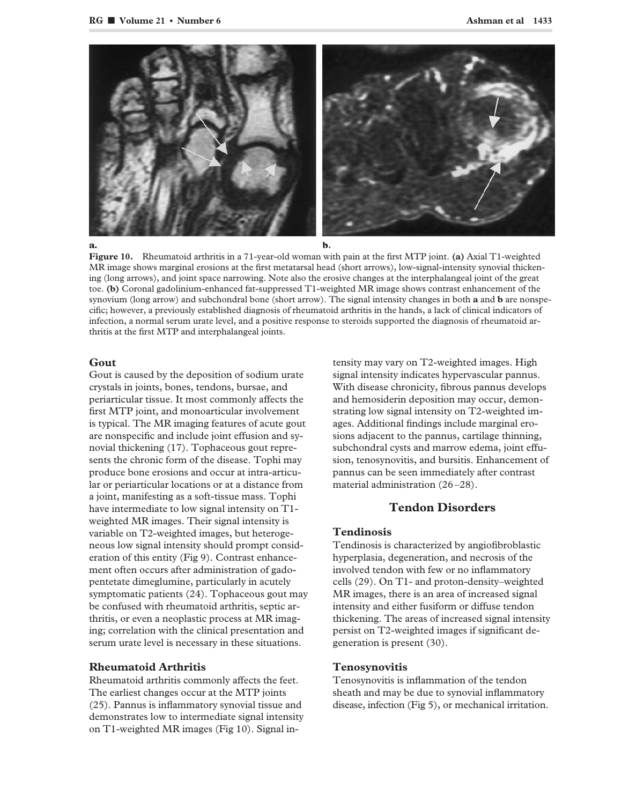

**Figure 10.** Rheumatoid arthritis in a 71-year-old woman with pain at the first MTP joint. **(a)** Axial T1-weighted MR image shows marginal erosions at the first metatarsal head (short arrows), low-signal-intensity synovial thickening (long arrows), and joint space narrowing. Note also the erosive changes at the interphalangeal joint of the great toe. **(b)** Coronal gadolinium-enhanced fat-suppressed T1-weighted MR image shows contrast enhancement of the synovium (long arrow) and subchondral bone (short arrow). The signal intensity changes in both **a** and **b** are nonspecific; however, a previously established diagnosis of rheumatoid arthritis in the hands, a lack of clinical indicators of infection, a normal serum urate level, and a positive response to steroids supported the diagnosis of rheumatoid arthritis at the first MTP and interphalangeal joints.

## **Gout**

Gout is caused by the deposition of sodium urate crystals in joints, bones, tendons, bursae, and periarticular tissue. It most commonly affects the first MTP joint, and monoarticular involvement is typical. The MR imaging features of acute gout are nonspecific and include joint effusion and synovial thickening (17). Tophaceous gout represents the chronic form of the disease. Tophi may produce bone erosions and occur at intra-articular or periarticular locations or at a distance from a joint, manifesting as a soft-tissue mass. Tophi have intermediate to low signal intensity on T1 weighted MR images. Their signal intensity is variable on T2-weighted images, but heterogeneous low signal intensity should prompt consideration of this entity (Fig 9). Contrast enhancement often occurs after administration of gadopentetate dimeglumine, particularly in acutely symptomatic patients (24). Tophaceous gout may be confused with rheumatoid arthritis, septic arthritis, or even a neoplastic process at MR imaging; correlation with the clinical presentation and serum urate level is necessary in these situations.

#### **Rheumatoid Arthritis**

Rheumatoid arthritis commonly affects the feet. The earliest changes occur at the MTP joints (25). Pannus is inflammatory synovial tissue and demonstrates low to intermediate signal intensity on T1-weighted MR images (Fig 10). Signal in-

tensity may vary on T2-weighted images. High signal intensity indicates hypervascular pannus. With disease chronicity, fibrous pannus develops and hemosiderin deposition may occur, demonstrating low signal intensity on T2-weighted images. Additional findings include marginal erosions adjacent to the pannus, cartilage thinning, subchondral cysts and marrow edema, joint effusion, tenosynovitis, and bursitis. Enhancement of pannus can be seen immediately after contrast material administration (26–28).

# **Tendon Disorders**

#### **Tendinosis**

Tendinosis is characterized by angiofibroblastic hyperplasia, degeneration, and necrosis of the involved tendon with few or no inflammatory cells (29). On T1- and proton-density–weighted MR images, there is an area of increased signal intensity and either fusiform or diffuse tendon thickening. The areas of increased signal intensity persist on T2-weighted images if significant degeneration is present (30).

#### **Tenosynovitis**

Tenosynovitis is inflammation of the tendon sheath and may be due to synovial inflammatory disease, infection (Fig 5), or mechanical irritation.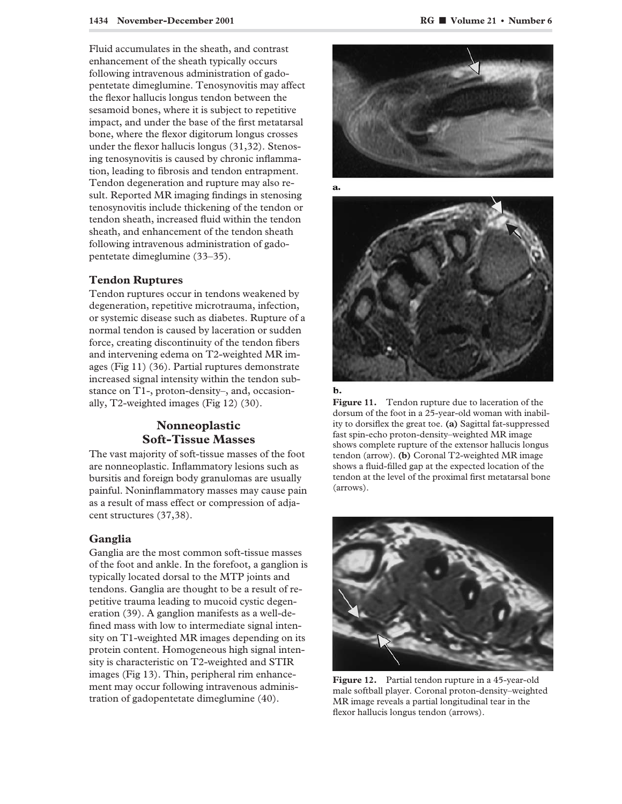Fluid accumulates in the sheath, and contrast enhancement of the sheath typically occurs following intravenous administration of gadopentetate dimeglumine. Tenosynovitis may affect the flexor hallucis longus tendon between the sesamoid bones, where it is subject to repetitive impact, and under the base of the first metatarsal bone, where the flexor digitorum longus crosses under the flexor hallucis longus (31,32). Stenosing tenosynovitis is caused by chronic inflammation, leading to fibrosis and tendon entrapment. Tendon degeneration and rupture may also result. Reported MR imaging findings in stenosing tenosynovitis include thickening of the tendon or tendon sheath, increased fluid within the tendon sheath, and enhancement of the tendon sheath following intravenous administration of gadopentetate dimeglumine (33–35).

#### **Tendon Ruptures**

Tendon ruptures occur in tendons weakened by degeneration, repetitive microtrauma, infection, or systemic disease such as diabetes. Rupture of a normal tendon is caused by laceration or sudden force, creating discontinuity of the tendon fibers and intervening edema on T2-weighted MR images (Fig 11) (36). Partial ruptures demonstrate increased signal intensity within the tendon substance on T1-, proton-density–, and, occasionally, T2-weighted images (Fig 12) (30).

# **Nonneoplastic Soft-Tissue Masses**

The vast majority of soft-tissue masses of the foot are nonneoplastic. Inflammatory lesions such as bursitis and foreign body granulomas are usually painful. Noninflammatory masses may cause pain as a result of mass effect or compression of adjacent structures (37,38).

#### **Ganglia**

Ganglia are the most common soft-tissue masses of the foot and ankle. In the forefoot, a ganglion is typically located dorsal to the MTP joints and tendons. Ganglia are thought to be a result of repetitive trauma leading to mucoid cystic degeneration (39). A ganglion manifests as a well-defined mass with low to intermediate signal intensity on T1-weighted MR images depending on its protein content. Homogeneous high signal intensity is characteristic on T2-weighted and STIR images (Fig 13). Thin, peripheral rim enhancement may occur following intravenous administration of gadopentetate dimeglumine (40).



#### b.

**Figure 11.** Tendon rupture due to laceration of the dorsum of the foot in a 25-year-old woman with inability to dorsiflex the great toe. **(a)** Sagittal fat-suppressed fast spin-echo proton-density–weighted MR image shows complete rupture of the extensor hallucis longus tendon (arrow). **(b)** Coronal T2-weighted MR image shows a fluid-filled gap at the expected location of the tendon at the level of the proximal first metatarsal bone (arrows).



**Figure 12.** Partial tendon rupture in a 45-year-old male softball player. Coronal proton-density–weighted MR image reveals a partial longitudinal tear in the flexor hallucis longus tendon (arrows).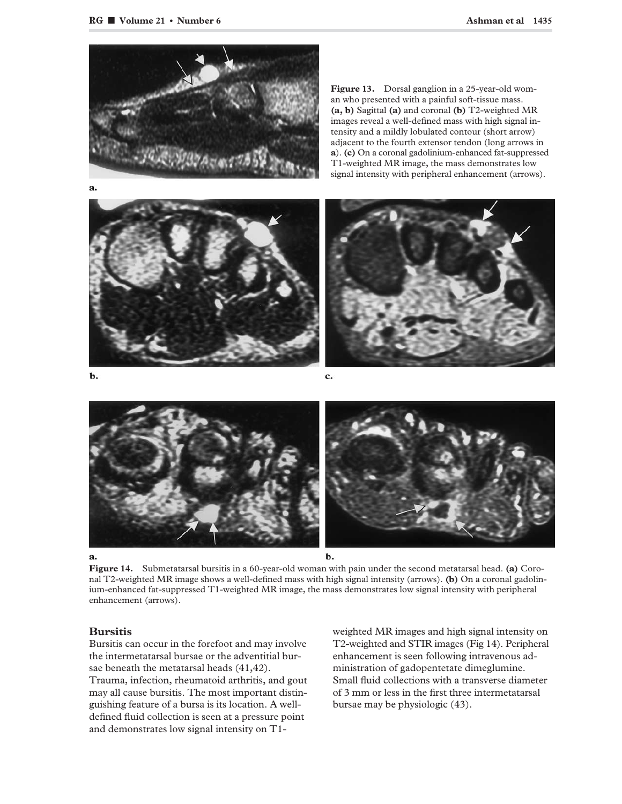

**Figure 13.** Dorsal ganglion in a 25-year-old woman who presented with a painful soft-tissue mass. **(a, b)** Sagittal **(a)** and coronal **(b)** T2-weighted MR images reveal a well-defined mass with high signal intensity and a mildly lobulated contour (short arrow) adjacent to the fourth extensor tendon (long arrows in **a**). **(c)** On a coronal gadolinium-enhanced fat-suppressed T1-weighted MR image, the mass demonstrates low signal intensity with peripheral enhancement (arrows).



b.

 $\overline{a}$ 

c.



a.

**Figure 14.** Submetatarsal bursitis in a 60-year-old woman with pain under the second metatarsal head. **(a)** Coronal T2-weighted MR image shows a well-defined mass with high signal intensity (arrows). **(b)** On a coronal gadolinium-enhanced fat-suppressed T1-weighted MR image, the mass demonstrates low signal intensity with peripheral enhancement (arrows).

#### **Bursitis**

Bursitis can occur in the forefoot and may involve the intermetatarsal bursae or the adventitial bursae beneath the metatarsal heads (41,42). Trauma, infection, rheumatoid arthritis, and gout may all cause bursitis. The most important distinguishing feature of a bursa is its location. A welldefined fluid collection is seen at a pressure point and demonstrates low signal intensity on T1-

weighted MR images and high signal intensity on T2-weighted and STIR images (Fig 14). Peripheral enhancement is seen following intravenous administration of gadopentetate dimeglumine. Small fluid collections with a transverse diameter of 3 mm or less in the first three intermetatarsal bursae may be physiologic (43).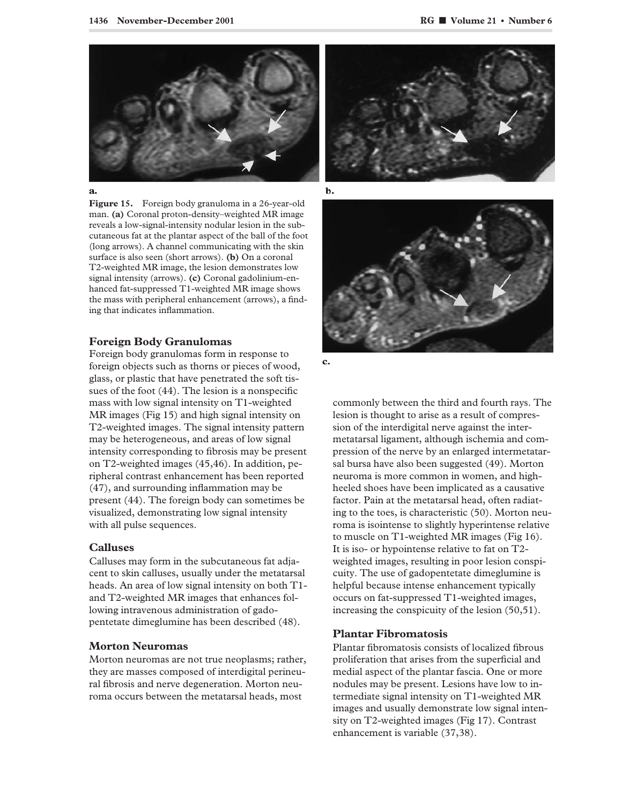

#### a.

**Figure 15.** Foreign body granuloma in a 26-year-old man. **(a)** Coronal proton-density–weighted MR image reveals a low-signal-intensity nodular lesion in the subcutaneous fat at the plantar aspect of the ball of the foot (long arrows). A channel communicating with the skin surface is also seen (short arrows). **(b)** On a coronal T2-weighted MR image, the lesion demonstrates low signal intensity (arrows). **(c)** Coronal gadolinium-enhanced fat-suppressed T1-weighted MR image shows the mass with peripheral enhancement (arrows), a finding that indicates inflammation.

## **Foreign Body Granulomas**

Foreign body granulomas form in response to foreign objects such as thorns or pieces of wood, glass, or plastic that have penetrated the soft tissues of the foot (44). The lesion is a nonspecific mass with low signal intensity on T1-weighted MR images (Fig 15) and high signal intensity on T2-weighted images. The signal intensity pattern may be heterogeneous, and areas of low signal intensity corresponding to fibrosis may be present on T2-weighted images (45,46). In addition, peripheral contrast enhancement has been reported (47), and surrounding inflammation may be present (44). The foreign body can sometimes be visualized, demonstrating low signal intensity with all pulse sequences.

## **Calluses**

Calluses may form in the subcutaneous fat adjacent to skin calluses, usually under the metatarsal heads. An area of low signal intensity on both T1 and T2-weighted MR images that enhances following intravenous administration of gadopentetate dimeglumine has been described (48).

#### **Morton Neuromas**

Morton neuromas are not true neoplasms; rather, they are masses composed of interdigital perineural fibrosis and nerve degeneration. Morton neuroma occurs between the metatarsal heads, most





 $c.$ 

commonly between the third and fourth rays. The lesion is thought to arise as a result of compression of the interdigital nerve against the intermetatarsal ligament, although ischemia and compression of the nerve by an enlarged intermetatarsal bursa have also been suggested (49). Morton neuroma is more common in women, and highheeled shoes have been implicated as a causative factor. Pain at the metatarsal head, often radiating to the toes, is characteristic (50). Morton neuroma is isointense to slightly hyperintense relative to muscle on T1-weighted MR images (Fig 16). It is iso- or hypointense relative to fat on T2 weighted images, resulting in poor lesion conspicuity. The use of gadopentetate dimeglumine is helpful because intense enhancement typically occurs on fat-suppressed T1-weighted images, increasing the conspicuity of the lesion (50,51).

## **Plantar Fibromatosis**

Plantar fibromatosis consists of localized fibrous proliferation that arises from the superficial and medial aspect of the plantar fascia. One or more nodules may be present. Lesions have low to intermediate signal intensity on T1-weighted MR images and usually demonstrate low signal intensity on T2-weighted images (Fig 17). Contrast enhancement is variable (37,38).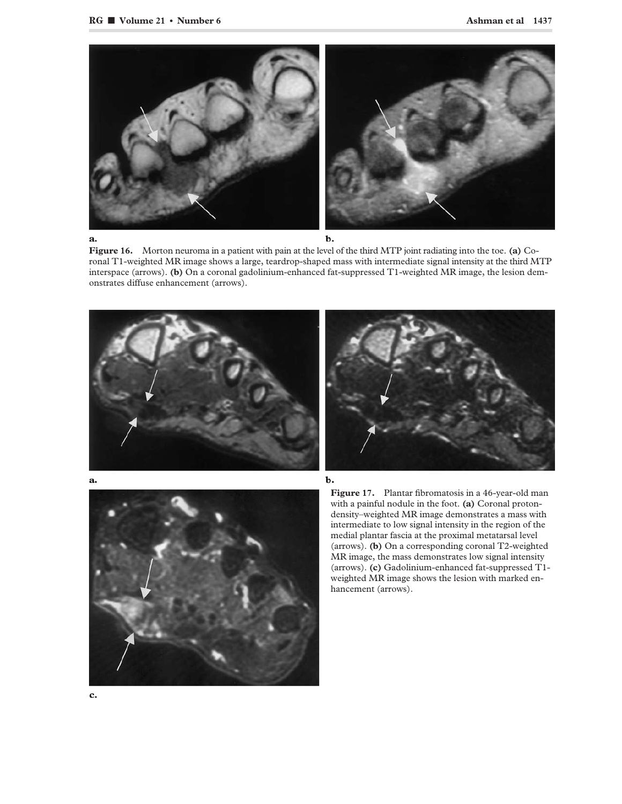

a.

b.

**Figure 16.** Morton neuroma in a patient with pain at the level of the third MTP joint radiating into the toe. **(a)** Coronal T1-weighted MR image shows a large, teardrop-shaped mass with intermediate signal intensity at the third MTP interspace (arrows). **(b)** On a coronal gadolinium-enhanced fat-suppressed T1-weighted MR image, the lesion demonstrates diffuse enhancement (arrows).



a.







Figure 17. Plantar fibromatosis in a 46-year-old man with a painful nodule in the foot. **(a)** Coronal protondensity–weighted MR image demonstrates a mass with intermediate to low signal intensity in the region of the medial plantar fascia at the proximal metatarsal level (arrows). **(b)** On a corresponding coronal T2-weighted MR image, the mass demonstrates low signal intensity (arrows). **(c)** Gadolinium-enhanced fat-suppressed T1 weighted MR image shows the lesion with marked enhancement (arrows).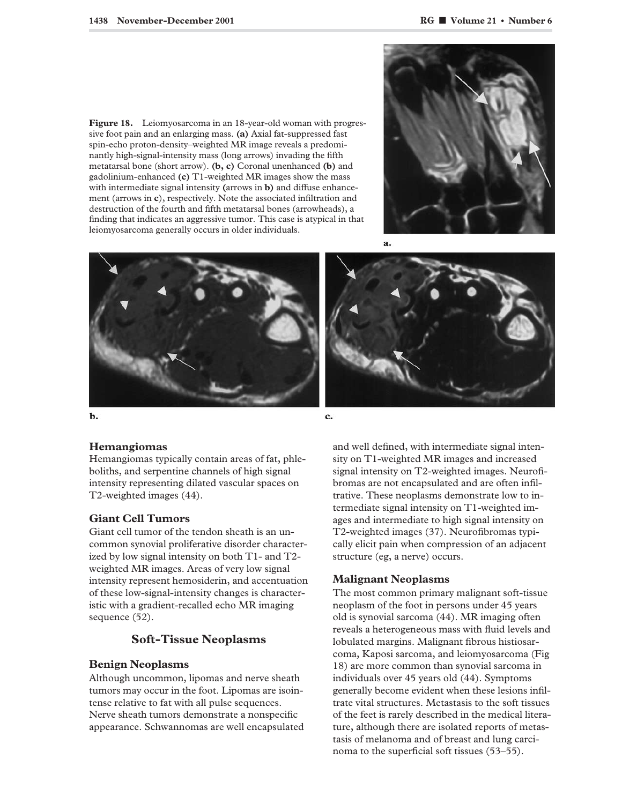**Figure 18.** Leiomyosarcoma in an 18-year-old woman with progressive foot pain and an enlarging mass. **(a)** Axial fat-suppressed fast spin-echo proton-density–weighted MR image reveals a predominantly high-signal-intensity mass (long arrows) invading the fifth metatarsal bone (short arrow). **(b, c)** Coronal unenhanced **(b)** and gadolinium-enhanced **(c)** T1-weighted MR images show the mass with intermediate signal intensity **(**arrows in **b)** and diffuse enhancement (arrows in **c**), respectively. Note the associated infiltration and destruction of the fourth and fifth metatarsal bones (arrowheads), a finding that indicates an aggressive tumor. This case is atypical in that leiomyosarcoma generally occurs in older individuals.



a.



**b.** 

#### **Hemangiomas**

Hemangiomas typically contain areas of fat, phleboliths, and serpentine channels of high signal intensity representing dilated vascular spaces on T2-weighted images (44).

# **Giant Cell Tumors**

Giant cell tumor of the tendon sheath is an uncommon synovial proliferative disorder characterized by low signal intensity on both T1- and T2 weighted MR images. Areas of very low signal intensity represent hemosiderin, and accentuation of these low-signal-intensity changes is characteristic with a gradient-recalled echo MR imaging sequence (52).

# **Soft-Tissue Neoplasms**

## **Benign Neoplasms**

Although uncommon, lipomas and nerve sheath tumors may occur in the foot. Lipomas are isointense relative to fat with all pulse sequences. Nerve sheath tumors demonstrate a nonspecific appearance. Schwannomas are well encapsulated and well defined, with intermediate signal intensity on T1-weighted MR images and increased signal intensity on T2-weighted images. Neurofibromas are not encapsulated and are often infiltrative. These neoplasms demonstrate low to intermediate signal intensity on T1-weighted images and intermediate to high signal intensity on T2-weighted images (37). Neurofibromas typically elicit pain when compression of an adjacent structure (eg, a nerve) occurs.

## **Malignant Neoplasms**

The most common primary malignant soft-tissue neoplasm of the foot in persons under 45 years old is synovial sarcoma (44). MR imaging often reveals a heterogeneous mass with fluid levels and lobulated margins. Malignant fibrous histiosarcoma, Kaposi sarcoma, and leiomyosarcoma (Fig 18) are more common than synovial sarcoma in individuals over 45 years old (44). Symptoms generally become evident when these lesions infiltrate vital structures. Metastasis to the soft tissues of the feet is rarely described in the medical literature, although there are isolated reports of metastasis of melanoma and of breast and lung carcinoma to the superficial soft tissues (53–55).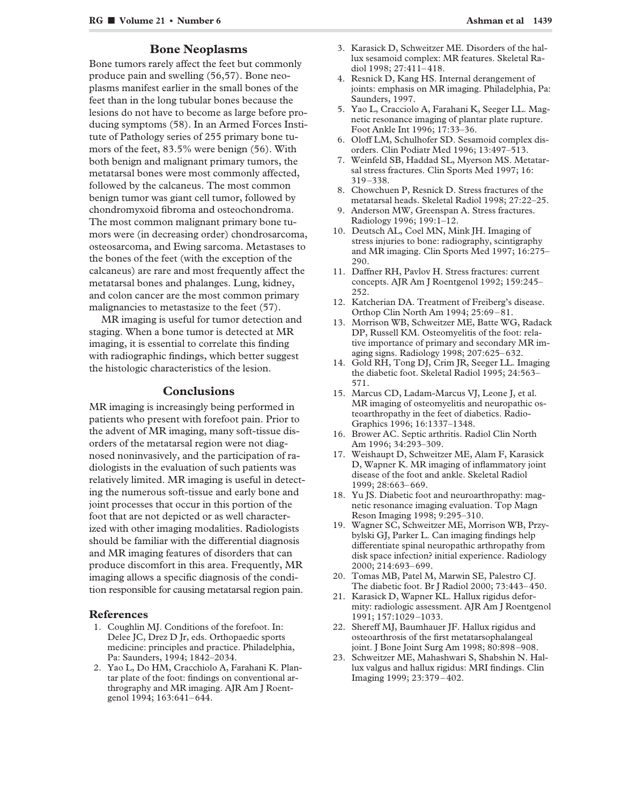# **Bone Neoplasms**

Bone tumors rarely affect the feet but commonly produce pain and swelling (56,57). Bone neoplasms manifest earlier in the small bones of the feet than in the long tubular bones because the lesions do not have to become as large before producing symptoms (58). In an Armed Forces Institute of Pathology series of 255 primary bone tumors of the feet, 83.5% were benign (56). With both benign and malignant primary tumors, the metatarsal bones were most commonly affected, followed by the calcaneus. The most common benign tumor was giant cell tumor, followed by chondromyxoid fibroma and osteochondroma. The most common malignant primary bone tumors were (in decreasing order) chondrosarcoma, osteosarcoma, and Ewing sarcoma. Metastases to the bones of the feet (with the exception of the calcaneus) are rare and most frequently affect the metatarsal bones and phalanges. Lung, kidney, and colon cancer are the most common primary malignancies to metastasize to the feet (57).

MR imaging is useful for tumor detection and staging. When a bone tumor is detected at MR imaging, it is essential to correlate this finding with radiographic findings, which better suggest the histologic characteristics of the lesion.

## **Conclusions**

MR imaging is increasingly being performed in patients who present with forefoot pain. Prior to the advent of MR imaging, many soft-tissue disorders of the metatarsal region were not diagnosed noninvasively, and the participation of radiologists in the evaluation of such patients was relatively limited. MR imaging is useful in detecting the numerous soft-tissue and early bone and joint processes that occur in this portion of the foot that are not depicted or as well characterized with other imaging modalities. Radiologists should be familiar with the differential diagnosis and MR imaging features of disorders that can produce discomfort in this area. Frequently, MR imaging allows a specific diagnosis of the condition responsible for causing metatarsal region pain.

#### **References**

- 1. Coughlin MJ. Conditions of the forefoot. In: Delee JC, Drez D Jr, eds. Orthopaedic sports medicine: principles and practice. Philadelphia, Pa: Saunders, 1994; 1842–2034.
- 2. Yao L, Do HM, Cracchiolo A, Farahani K. Plantar plate of the foot: findings on conventional arthrography and MR imaging. AJR Am J Roentgenol 1994; 163:641– 644.
- 3. Karasick D, Schweitzer ME. Disorders of the hallux sesamoid complex: MR features. Skeletal Radiol 1998; 27:411-418.
- 4. Resnick D, Kang HS. Internal derangement of joints: emphasis on MR imaging. Philadelphia, Pa: Saunders, 1997.
- 5. Yao L, Cracciolo A, Farahani K, Seeger LL. Magnetic resonance imaging of plantar plate rupture. Foot Ankle Int 1996; 17:33–36.
- 6. Oloff LM, Schulhofer SD. Sesamoid complex disorders. Clin Podiatr Med 1996; 13:497–513.
- 7. Weinfeld SB, Haddad SL, Myerson MS. Metatarsal stress fractures. Clin Sports Med 1997; 16: 319 –338.
- 8. Chowchuen P, Resnick D. Stress fractures of the metatarsal heads. Skeletal Radiol 1998; 27:22–25.
- 9. Anderson MW, Greenspan A. Stress fractures. Radiology 1996; 199:1–12.
- 10. Deutsch AL, Coel MN, Mink JH. Imaging of stress injuries to bone: radiography, scintigraphy and MR imaging. Clin Sports Med 1997; 16:275– 290.
- 11. Daffner RH, Pavlov H. Stress fractures: current concepts. AJR Am J Roentgenol 1992; 159:245– 252.
- 12. Katcherian DA. Treatment of Freiberg's disease. Orthop Clin North Am 1994; 25:69 – 81.
- 13. Morrison WB, Schweitzer ME, Batte WG, Radack DP, Russell KM. Osteomyelitis of the foot: relative importance of primary and secondary MR imaging signs. Radiology 1998; 207:625– 632.
- 14. Gold RH, Tong DJ, Crim JR, Seeger LL. Imaging the diabetic foot. Skeletal Radiol 1995; 24:563– 571.
- 15. Marcus CD, Ladam-Marcus VJ, Leone J, et al. MR imaging of osteomyelitis and neuropathic osteoarthropathy in the feet of diabetics. Radio-Graphics 1996; 16:1337–1348.
- 16. Brower AC. Septic arthritis. Radiol Clin North Am 1996; 34:293–309.
- 17. Weishaupt D, Schweitzer ME, Alam F, Karasick D, Wapner K. MR imaging of inflammatory joint disease of the foot and ankle. Skeletal Radiol 1999; 28:663– 669.
- 18. Yu JS. Diabetic foot and neuroarthropathy: magnetic resonance imaging evaluation. Top Magn Reson Imaging 1998; 9:295–310.
- 19. Wagner SC, Schweitzer ME, Morrison WB, Przybylski GJ, Parker L. Can imaging findings help differentiate spinal neuropathic arthropathy from disk space infection? initial experience. Radiology 2000; 214:693– 699.
- 20. Tomas MB, Patel M, Marwin SE, Palestro CJ. The diabetic foot. Br J Radiol 2000; 73:443– 450.
- 21. Karasick D, Wapner KL. Hallux rigidus deformity: radiologic assessment. AJR Am J Roentgenol 1991; 157:1029 –1033.
- 22. Shereff MJ, Baumhauer JF. Hallux rigidus and osteoarthrosis of the first metatarsophalangeal joint. J Bone Joint Surg Am 1998; 80:898 –908.
- 23. Schweitzer ME, Mahashwari S, Shabshin N. Hallux valgus and hallux rigidus: MRI findings. Clin Imaging 1999; 23:379 – 402.